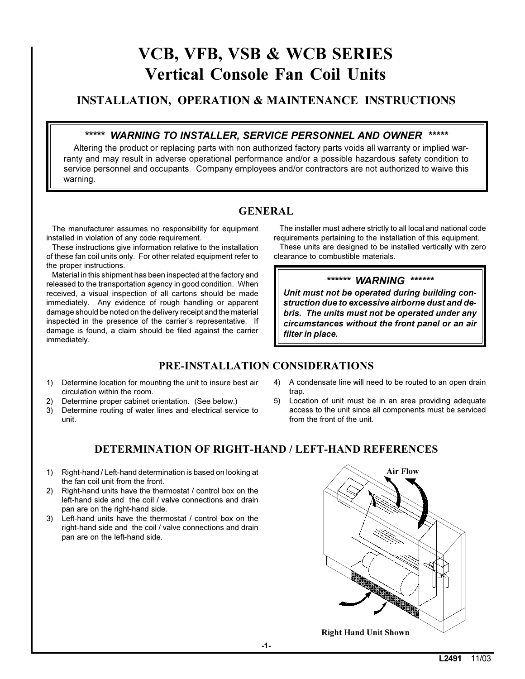# VCB, VFB, VSB & WCB SERIES **Vertical Console Fan Coil Units**

# **INSTALLATION, OPERATION & MAINTENANCE INSTRUCTIONS**

### \*\*\*\*\* WARNING TO INSTALLER, SERVICE PERSONNEL AND OWNER \*\*\*\*\*

Altering the product or replacing parts with non authorized factory parts voids all warranty or implied warranty and may result in adverse operational performance and/or a possible hazardous safety condition to service personnel and occupants. Company employees and/or contractors are not authorized to waive this warning.

# **GENERAL**

The manufacturer assumes no responsibility for equipment installed in violation of any code requirement.

These instructions give information relative to the installation of these fan coil units only. For other related equipment refer to the proper instructions.

Material in this shipment has been inspected at the factory and released to the transportation agency in good condition. When received, a visual inspection of all cartons should be made immediately. Any evidence of rough handling or apparent damage should be noted on the delivery receipt and the material inspected in the presence of the carrier's representative. If damage is found, a claim should be filed against the carrier immediately.

The installer must adhere strictly to all local and national code requirements pertaining to the installation of this equipment.

These units are designed to be installed vertically with zero clearance to combustible materials.

#### \*\*\*\*\*\* WARNING \*\*\*\*\*\*

Unit must not be operated during building construction due to excessive airborne dust and debris. The units must not be operated under any circumstances without the front panel or an air filter in place.

# PRE-INSTALLATION CONSIDERATIONS

- 1) Determine location for mounting the unit to insure best air circulation within the room.
- 2) Determine proper cabinet orientation. (See below.)
- 3) Determine routing of water lines and electrical service to unit.
- $4)$ A condensate line will need to be routed to an open drain trap.
- 5) Location of unit must be in an area providing adequate access to the unit since all components must be serviced from the front of the unit.

# **DETERMINATION OF RIGHT-HAND / LEFT-HAND REFERENCES**

- 1) Right-hand / Left-hand determination is based on looking at the fan coil unit from the front.
- 2) Right-hand units have the thermostat / control box on the left-hand side and the coil / valve connections and drain pan are on the right-hand side.
- 3) Left-hand units have the thermostat / control box on the right-hand side and the coil / valve connections and drain pan are on the left-hand side.

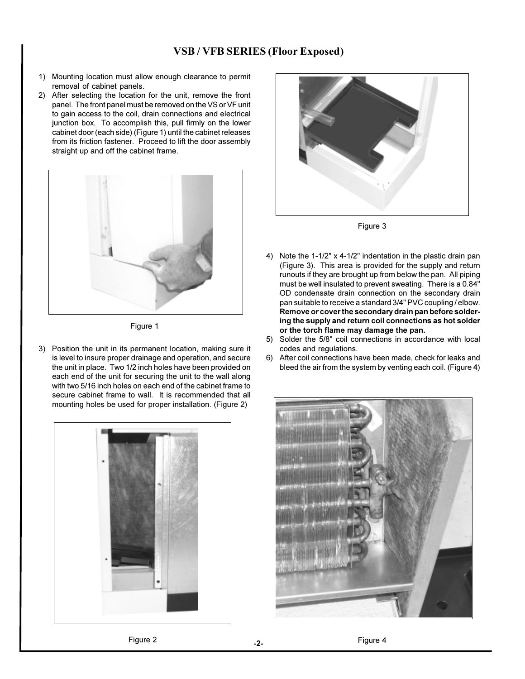#### **VSB/VFB SERIES (Floor Exposed)**

- 1) Mounting location must allow enough clearance to permit removal of cabinet panels.
- 2) After selecting the location for the unit, remove the front panel. The front panel must be removed on the VS or VF unit to gain access to the coil, drain connections and electrical junction box. To accomplish this, pull firmly on the lower cabinet door (each side) (Figure 1) until the cabinet releases from its friction fastener. Proceed to lift the door assembly straight up and off the cabinet frame.



Figure 1

3) Position the unit in its permanent location, making sure it is level to insure proper drainage and operation, and secure the unit in place. Two 1/2 inch holes have been provided on each end of the unit for securing the unit to the wall along with two 5/16 inch holes on each end of the cabinet frame to secure cabinet frame to wall. It is recommended that all mounting holes be used for proper installation. (Figure 2)





Figure 3

- 4) Note the 1-1/2" x 4-1/2" indentation in the plastic drain pan (Figure 3). This area is provided for the supply and return runouts if they are brought up from below the pan. All piping must be well insulated to prevent sweating. There is a 0.84" OD condensate drain connection on the secondary drain pan suitable to receive a standard 3/4" PVC coupling / elbow. Remove or cover the secondary drain pan before soldering the supply and return coil connections as hot solder or the torch flame may damage the pan.
- 5) Solder the 5/8" coil connections in accordance with local codes and regulations.
- After coil connections have been made, check for leaks and  $6)$ bleed the air from the system by venting each coil. (Figure 4)



Figure 2

 $-2-$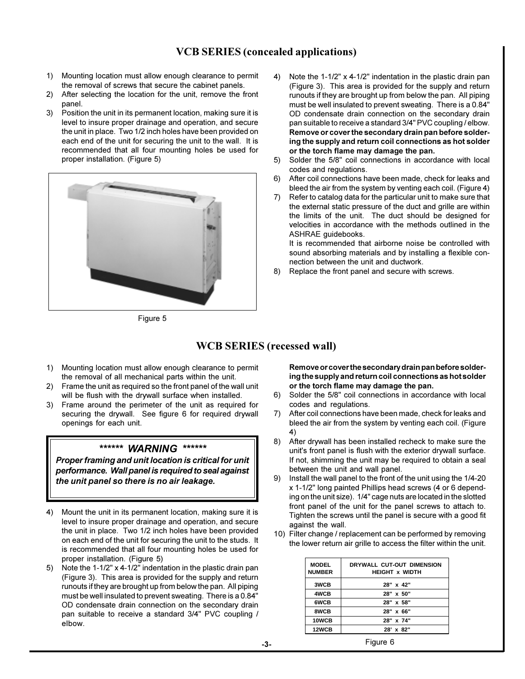## **VCB SERIES (concealed applications)**

- 1) Mounting location must allow enough clearance to permit the removal of screws that secure the cabinet panels.
- 2) After selecting the location for the unit, remove the front panel.
- Position the unit in its permanent location, making sure it is  $3)$ level to insure proper drainage and operation, and secure the unit in place. Two 1/2 inch holes have been provided on each end of the unit for securing the unit to the wall. It is recommended that all four mounting holes be used for proper installation. (Figure 5)



Figure 5

- $4)$ Note the 1-1/2" x 4-1/2" indentation in the plastic drain pan (Figure 3). This area is provided for the supply and return runouts if they are brought up from below the pan. All piping must be well insulated to prevent sweating. There is a 0.84" OD condensate drain connection on the secondary drain pan suitable to receive a standard 3/4" PVC coupling / elbow. Remove or cover the secondary drain pan before soldering the supply and return coil connections as hot solder or the torch flame may damage the pan.
- $5)$ Solder the 5/8" coil connections in accordance with local codes and regulations.
- $6)$ After coil connections have been made, check for leaks and bleed the air from the system by venting each coil. (Figure 4)
- Refer to catalog data for the particular unit to make sure that  $7)$ the external static pressure of the duct and grille are within the limits of the unit. The duct should be designed for velocities in accordance with the methods outlined in the ASHRAE quidebooks.

It is recommended that airborne noise be controlled with sound absorbing materials and by installing a flexible connection between the unit and ductwork.

8) Replace the front panel and secure with screws.

#### **WCB SERIES** (recessed wall)

- 1) Mounting location must allow enough clearance to permit the removal of all mechanical parts within the unit.
- 2) Frame the unit as required so the front panel of the wall unit will be flush with the drywall surface when installed.
- 3) Frame around the perimeter of the unit as required for securing the drywall. See figure 6 for required drywall openings for each unit.

#### \*\*\*\*\*\* WARNING \*\*\*\*\*\*

Proper framing and unit location is critical for unit performance. Wall panel is required to seal against the unit panel so there is no air leakage.

- $4)$ Mount the unit in its permanent location, making sure it is level to insure proper drainage and operation, and secure the unit in place. Two 1/2 inch holes have been provided on each end of the unit for securing the unit to the studs. It is recommended that all four mounting holes be used for proper installation. (Figure 5)
- 5) Note the 1-1/2" x 4-1/2" indentation in the plastic drain pan (Figure 3). This area is provided for the supply and return runouts if they are brought up from below the pan. All piping must be well insulated to prevent sweating. There is a 0.84" OD condensate drain connection on the secondary drain pan suitable to receive a standard 3/4" PVC coupling / elbow.

Remove or cover the secondary drain pan before soldering the supply and return coil connections as hot solder or the torch flame may damage the pan.

- $6)$ Solder the 5/8" coil connections in accordance with local codes and regulations.
- 7) After coil connections have been made, check for leaks and bleed the air from the system by venting each coil. (Figure  $4)$
- After drywall has been installed recheck to make sure the 8) unit's front panel is flush with the exterior drywall surface. If not, shimming the unit may be required to obtain a seal between the unit and wall panel.
- $9)$ Install the wall panel to the front of the unit using the 1/4-20 x 1-1/2" long painted Phillips head screws (4 or 6 depending on the unit size). 1/4" cage nuts are located in the slotted front panel of the unit for the panel screws to attach to. Tighten the screws until the panel is secure with a good fit against the wall.
- 10) Filter change / replacement can be performed by removing the lower return air grille to access the filter within the unit.

| <b>MODEL</b><br><b>NUMBER</b> | DRYWALL CUT-OUT DIMENSION<br><b>HEIGHT x WIDTH</b> |
|-------------------------------|----------------------------------------------------|
| 3WCB                          | 28" x 42"                                          |
| 4WCB                          | 28" x 50"                                          |
| 6WCB                          | 28" x 58"                                          |
| 8WCB                          | 28" x 66"                                          |
| 10WCB                         | 28" x 74"                                          |
| 12WCB                         | 28' x 82"                                          |

Figure 6